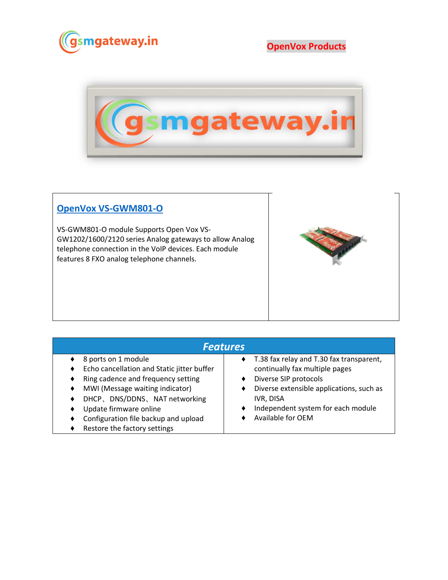

**OpenVox Products**



## **[OpenVox VS-GWM801-O](https://www.gsmgateway.in/openvox/VS-GWM801-O.html)**

VS-GWM801-O module Supports Open Vox VS-GW1202/1600/2120 series Analog gateways to allow Analog telephone connection in the VoIP devices. Each module features 8 FXO analog telephone channels.



| <b>Features</b>                                                                                                                                                                                                                                                              |                                                                                                                                                                                                                         |  |  |  |
|------------------------------------------------------------------------------------------------------------------------------------------------------------------------------------------------------------------------------------------------------------------------------|-------------------------------------------------------------------------------------------------------------------------------------------------------------------------------------------------------------------------|--|--|--|
| 8 ports on 1 module<br>Echo cancellation and Static jitter buffer<br>Ring cadence and frequency setting<br>MWI (Message waiting indicator)<br>DHCP、DNS/DDNS、NAT networking<br>Update firmware online<br>Configuration file backup and upload<br>Restore the factory settings | T.38 fax relay and T.30 fax transparent,<br>continually fax multiple pages<br>Diverse SIP protocols<br>Diverse extensible applications, such as<br>IVR, DISA<br>Independent system for each module<br>Available for OEM |  |  |  |